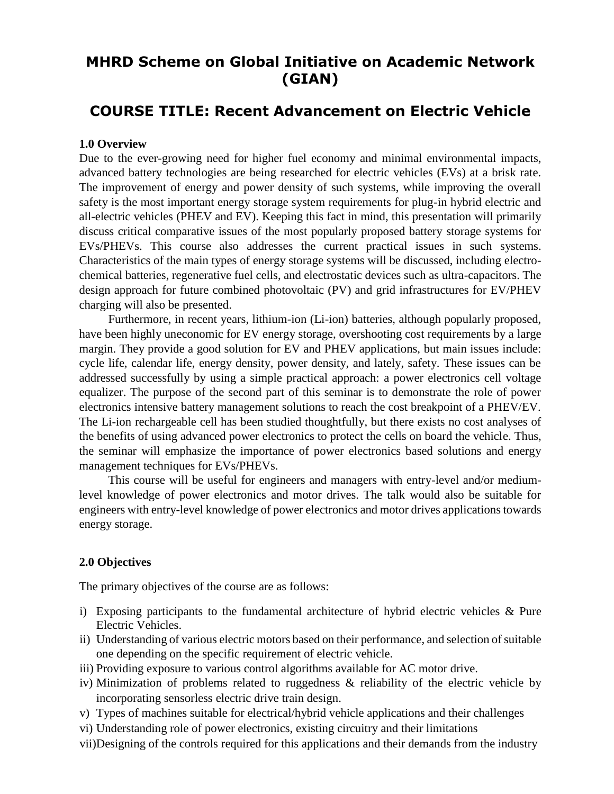# **MHRD Scheme on Global Initiative on Academic Network (GIAN)**

# **COURSE TITLE: Recent Advancement on Electric Vehicle**

#### **1.0 Overview**

Due to the ever-growing need for higher fuel economy and minimal environmental impacts, advanced battery technologies are being researched for electric vehicles (EVs) at a brisk rate. The improvement of energy and power density of such systems, while improving the overall safety is the most important energy storage system requirements for plug-in hybrid electric and all-electric vehicles (PHEV and EV). Keeping this fact in mind, this presentation will primarily discuss critical comparative issues of the most popularly proposed battery storage systems for EVs/PHEVs. This course also addresses the current practical issues in such systems. Characteristics of the main types of energy storage systems will be discussed, including electrochemical batteries, regenerative fuel cells, and electrostatic devices such as ultra-capacitors. The design approach for future combined photovoltaic (PV) and grid infrastructures for EV/PHEV charging will also be presented.

Furthermore, in recent years, lithium-ion (Li-ion) batteries, although popularly proposed, have been highly uneconomic for EV energy storage, overshooting cost requirements by a large margin. They provide a good solution for EV and PHEV applications, but main issues include: cycle life, calendar life, energy density, power density, and lately, safety. These issues can be addressed successfully by using a simple practical approach: a power electronics cell voltage equalizer. The purpose of the second part of this seminar is to demonstrate the role of power electronics intensive battery management solutions to reach the cost breakpoint of a PHEV/EV. The Li-ion rechargeable cell has been studied thoughtfully, but there exists no cost analyses of the benefits of using advanced power electronics to protect the cells on board the vehicle. Thus, the seminar will emphasize the importance of power electronics based solutions and energy management techniques for EVs/PHEVs.

This course will be useful for engineers and managers with entry-level and/or mediumlevel knowledge of power electronics and motor drives. The talk would also be suitable for engineers with entry-level knowledge of power electronics and motor drives applications towards energy storage.

#### **2.0 Objectives**

The primary objectives of the course are as follows:

- i) Exposing participants to the fundamental architecture of hybrid electric vehicles & Pure Electric Vehicles.
- ii) Understanding of various electric motors based on their performance, and selection of suitable one depending on the specific requirement of electric vehicle.
- iii) Providing exposure to various control algorithms available for AC motor drive.
- iv) Minimization of problems related to ruggedness & reliability of the electric vehicle by incorporating sensorless electric drive train design.
- v) Types of machines suitable for electrical/hybrid vehicle applications and their challenges
- vi) Understanding role of power electronics, existing circuitry and their limitations
- vii)Designing of the controls required for this applications and their demands from the industry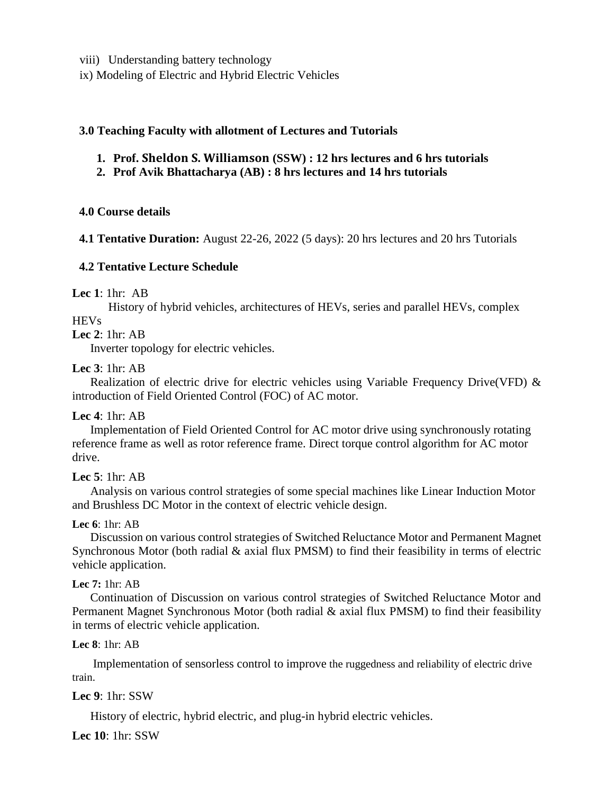viii) Understanding battery technology

ix) Modeling of Electric and Hybrid Electric Vehicles

#### **3.0 Teaching Faculty with allotment of Lectures and Tutorials**

- **1. Prof. Sheldon S. Williamson (SSW) : 12 hrs lectures and 6 hrs tutorials**
- **2. Prof Avik Bhattacharya (AB) : 8 hrs lectures and 14 hrs tutorials**

#### **4.0 Course details**

**4.1 Tentative Duration:** August 22-26, 2022 (5 days): 20 hrs lectures and 20 hrs Tutorials

#### **4.2 Tentative Lecture Schedule**

#### **Lec 1**: 1hr: AB

History of hybrid vehicles, architectures of HEVs, series and parallel HEVs, complex **HEVs** 

#### **Lec 2**: 1hr: AB

Inverter topology for electric vehicles.

#### **Lec 3**: 1hr: AB

Realization of electric drive for electric vehicles using Variable Frequency Drive(VFD)  $\&$ introduction of Field Oriented Control (FOC) of AC motor.

#### **Lec 4**: 1hr: AB

Implementation of Field Oriented Control for AC motor drive using synchronously rotating reference frame as well as rotor reference frame. Direct torque control algorithm for AC motor drive.

#### **Lec 5**: 1hr: AB

Analysis on various control strategies of some special machines like Linear Induction Motor and Brushless DC Motor in the context of electric vehicle design.

#### **Lec 6**: 1hr: AB

Discussion on various control strategies of Switched Reluctance Motor and Permanent Magnet Synchronous Motor (both radial & axial flux PMSM) to find their feasibility in terms of electric vehicle application.

#### **Lec 7:** 1hr: AB

Continuation of Discussion on various control strategies of Switched Reluctance Motor and Permanent Magnet Synchronous Motor (both radial & axial flux PMSM) to find their feasibility in terms of electric vehicle application.

#### **Lec 8**: 1hr: AB

Implementation of sensorless control to improve the ruggedness and reliability of electric drive train.

#### **Lec 9**: 1hr: SSW

History of electric, hybrid electric, and plug-in hybrid electric vehicles.

**Lec 10**: 1hr: SSW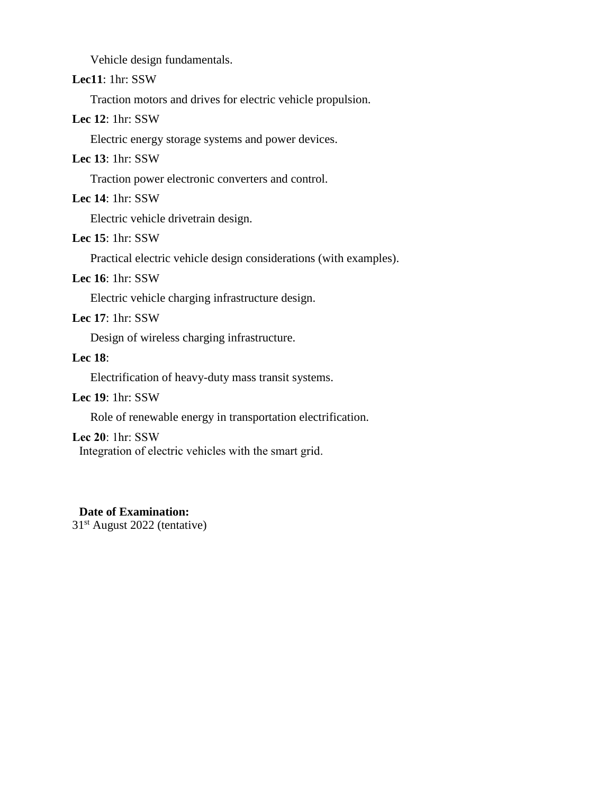Vehicle design fundamentals.

## **Lec11**: 1hr: SSW

Traction motors and drives for electric vehicle propulsion.

#### **Lec 12**: 1hr: SSW

Electric energy storage systems and power devices.

#### **Lec 13**: 1hr: SSW

Traction power electronic converters and control.

## **Lec 14**: 1hr: SSW

Electric vehicle drivetrain design.

## **Lec 15**: 1hr: SSW

Practical electric vehicle design considerations (with examples).

#### **Lec 16**: 1hr: SSW

Electric vehicle charging infrastructure design.

#### **Lec 17**: 1hr: SSW

Design of wireless charging infrastructure.

#### **Lec 18**:

Electrification of heavy-duty mass transit systems.

#### **Lec 19**: 1hr: SSW

Role of renewable energy in transportation electrification.

#### **Lec 20**: 1hr: SSW

Integration of electric vehicles with the smart grid.

#### **Date of Examination:**

31st August 2022 (tentative)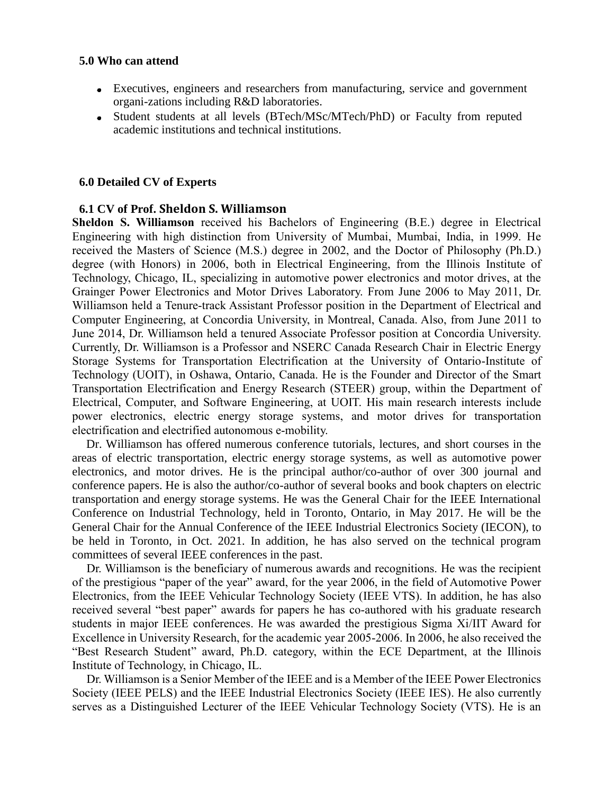#### **5.0 Who can attend**

- Executives, engineers and researchers from manufacturing, service and government organi-zations including R&D laboratories.
- Student students at all levels (BTech/MSc/MTech/PhD) or Faculty from reputed  $\bullet$ academic institutions and technical institutions.

#### **6.0 Detailed CV of Experts**

#### **6.1 CV of Prof. Sheldon S. Williamson**

**Sheldon S. Williamson** received his Bachelors of Engineering (B.E.) degree in Electrical Engineering with high distinction from University of Mumbai, Mumbai, India, in 1999. He received the Masters of Science (M.S.) degree in 2002, and the Doctor of Philosophy (Ph.D.) degree (with Honors) in 2006, both in Electrical Engineering, from the Illinois Institute of Technology, Chicago, IL, specializing in automotive power electronics and motor drives, at the Grainger Power Electronics and Motor Drives Laboratory. From June 2006 to May 2011, Dr. Williamson held a Tenure-track Assistant Professor position in the Department of Electrical and Computer Engineering, at Concordia University, in Montreal, Canada. Also, from June 2011 to June 2014, Dr. Williamson held a tenured Associate Professor position at Concordia University. Currently, Dr. Williamson is a Professor and NSERC Canada Research Chair in Electric Energy Storage Systems for Transportation Electrification at the University of Ontario-Institute of Technology (UOIT), in Oshawa, Ontario, Canada. He is the Founder and Director of the Smart Transportation Electrification and Energy Research (STEER) group, within the Department of Electrical, Computer, and Software Engineering, at UOIT. His main research interests include power electronics, electric energy storage systems, and motor drives for transportation electrification and electrified autonomous e-mobility.

Dr. Williamson has offered numerous conference tutorials, lectures, and short courses in the areas of electric transportation, electric energy storage systems, as well as automotive power electronics, and motor drives. He is the principal author/co-author of over 300 journal and conference papers. He is also the author/co-author of several books and book chapters on electric transportation and energy storage systems. He was the General Chair for the IEEE International Conference on Industrial Technology, held in Toronto, Ontario, in May 2017. He will be the General Chair for the Annual Conference of the IEEE Industrial Electronics Society (IECON), to be held in Toronto, in Oct. 2021. In addition, he has also served on the technical program committees of several IEEE conferences in the past.

Dr. Williamson is the beneficiary of numerous awards and recognitions. He was the recipient of the prestigious "paper of the year" award, for the year 2006, in the field of Automotive Power Electronics, from the IEEE Vehicular Technology Society (IEEE VTS). In addition, he has also received several "best paper" awards for papers he has co-authored with his graduate research students in major IEEE conferences. He was awarded the prestigious Sigma Xi/IIT Award for Excellence in University Research, for the academic year 2005-2006. In 2006, he also received the "Best Research Student" award, Ph.D. category, within the ECE Department, at the Illinois Institute of Technology, in Chicago, IL.

Dr. Williamson is a Senior Member of the IEEE and is a Member of the IEEE Power Electronics Society (IEEE PELS) and the IEEE Industrial Electronics Society (IEEE IES). He also currently serves as a Distinguished Lecturer of the IEEE Vehicular Technology Society (VTS). He is an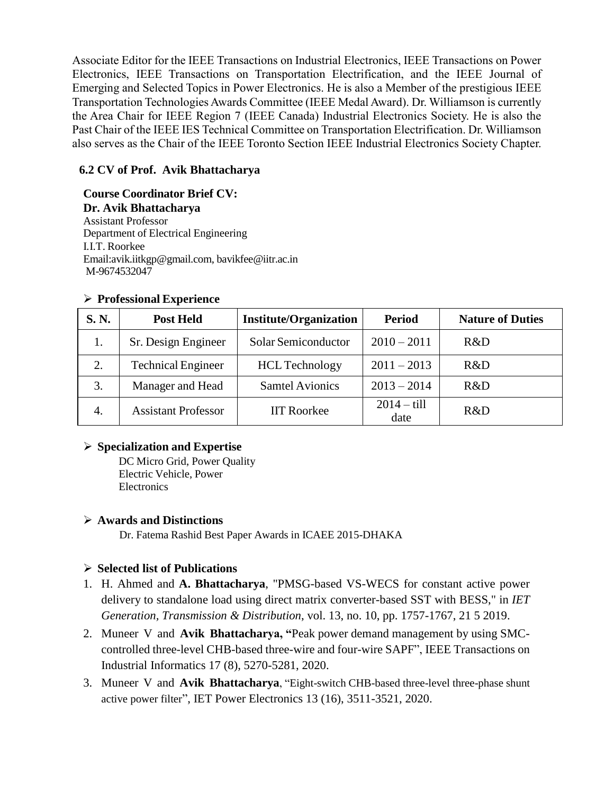Associate Editor for the IEEE Transactions on Industrial Electronics, IEEE Transactions on Power Electronics, IEEE Transactions on Transportation Electrification, and the IEEE Journal of Emerging and Selected Topics in Power Electronics. He is also a Member of the prestigious IEEE Transportation Technologies Awards Committee (IEEE Medal Award). Dr. Williamson is currently the Area Chair for IEEE Region 7 (IEEE Canada) Industrial Electronics Society. He is also the Past Chair of the IEEE IES Technical Committee on Transportation Electrification. Dr. Williamson also serves as the Chair of the IEEE Toronto Section IEEE Industrial Electronics Society Chapter.

## **6.2 CV of Prof. Avik Bhattacharya**

## **Course Coordinator Brief CV:**

**Dr. Avik Bhattacharya** Assistant Professor Department of Electrical Engineering I.I.T. Roorkee Email[:avik.iitkgp@gmail.com,](mailto:avik.iitkgp@gmail.com) bavikfee@iitr.ac.in M-9674532047

#### **Professional Experience**

| S. N. | <b>Post Held</b>           | <b>Institute/Organization</b> | <b>Period</b>                | <b>Nature of Duties</b> |
|-------|----------------------------|-------------------------------|------------------------------|-------------------------|
| 1.    | Sr. Design Engineer        | Solar Semiconductor           | $2010 - 2011$                | R&D                     |
| 2.    | <b>Technical Engineer</b>  | <b>HCL</b> Technology         | $2011 - 2013$                | R&D                     |
| 3.    | Manager and Head           | <b>Samtel Avionics</b>        | $2013 - 2014$                | R&D                     |
| 4.    | <b>Assistant Professor</b> | <b>IIT Roorkee</b>            | $2014 - \text{till}$<br>date | R&D                     |

#### **Specialization and Expertise**

DC Micro Grid, Power Quality Electric Vehicle, Power **Electronics** 

## **Awards and Distinctions**

Dr. Fatema Rashid Best Paper Awards in ICAEE 2015-DHAKA

## **Selected list of Publications**

- 1. H. Ahmed and **A. Bhattacharya**, "PMSG-based VS-WECS for constant active power delivery to standalone load using direct matrix converter-based SST with BESS," in *IET Generation, Transmission & Distribution*, vol. 13, no. 10, pp. 1757-1767, 21 5 2019.
- 2. Muneer V and **Avik Bhattacharya, "**[Peak power demand management by using SMC](https://scholar.google.com/citations?view_op=view_citation&hl=en&user=GGrb6HAAAAAJ&citation_for_view=GGrb6HAAAAAJ:Tyk-4Ss8FVUC)[controlled three-level CHB-based three-wire and four-wire SAPF"](https://scholar.google.com/citations?view_op=view_citation&hl=en&user=GGrb6HAAAAAJ&citation_for_view=GGrb6HAAAAAJ:Tyk-4Ss8FVUC), IEEE Transactions on Industrial Informatics 17 (8), 5270-5281, 2020.
- 3. Muneer V and **Avik Bhattacharya**, ["Eight-switch CHB-based three-level three-phase shunt](https://scholar.google.com/citations?view_op=view_citation&hl=en&user=GGrb6HAAAAAJ&citation_for_view=GGrb6HAAAAAJ:zYLM7Y9cAGgC)  [active power filter](https://scholar.google.com/citations?view_op=view_citation&hl=en&user=GGrb6HAAAAAJ&citation_for_view=GGrb6HAAAAAJ:zYLM7Y9cAGgC)", IET Power Electronics 13 (16), 3511-3521, 2020.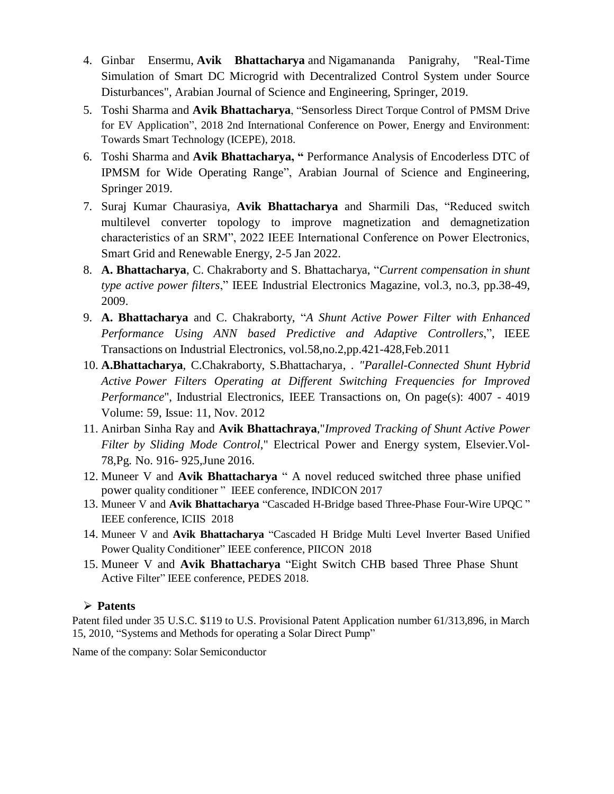- 4. Ginbar Ensermu, **Avik Bhattacharya** and Nigamananda Panigrahy, "Real-Time Simulation of Smart DC Microgrid with Decentralized Control System under Source Disturbances", Arabian Journal of Science and Engineering, Springer, 2019.
- 5. Toshi Sharma and **Avik Bhattacharya**, "Sensorless [Direct Torque Control of PMSM Drive](https://scholar.google.com/citations?view_op=view_citation&hl=en&user=ZgErbFUAAAAJ&citation_for_view=ZgErbFUAAAAJ:9yKSN-GCB0IC)  [for EV Application"](https://scholar.google.com/citations?view_op=view_citation&hl=en&user=ZgErbFUAAAAJ&citation_for_view=ZgErbFUAAAAJ:9yKSN-GCB0IC), 2018 2nd International Conference on Power, Energy and Environment: Towards Smart Technology (ICEPE), 2018.
- 6. Toshi Sharma and **Avik Bhattacharya, "** [Performance Analysis of Encoderless DTC of](https://link.springer.com/article/10.1007/s13369-020-04550-2)  [IPMSM for Wide Operating Range"](https://link.springer.com/article/10.1007/s13369-020-04550-2), Arabian Journal of Science and Engineering, Springer 2019.
- 7. Suraj Kumar Chaurasiya, **Avik Bhattacharya** and Sharmili Das, "Reduced switch multilevel converter topology to improve magnetization and demagnetization characteristics of an SRM", 2022 IEEE International Conference on Power Electronics, Smart Grid and Renewable Energy, 2-5 Jan 2022.
- 8. **A. Bhattacharya**, C. Chakraborty and S. Bhattacharya, "*Current compensation in shunt type active power filters*," IEEE Industrial Electronics Magazine, vol.3, no.3, pp.38-49, 2009.
- 9. **A. Bhattacharya** and C. Chakraborty, "*A Shunt Active Power Filter with Enhanced Performance Using ANN based Predictive and Adaptive Controllers*,", IEEE Transactions on Industrial Electronics, vol.58,no.2,pp.421-428,Feb.2011
- 10. **A.Bhattacharya**, C.Chakraborty, S.Bhattacharya, . *"Parallel-Connected Shunt Hybrid Active Power Filters Operating at Different Switching Frequencies for Improved Performance*", Industrial Electronics, IEEE Transactions on, On page(s): 4007 - 4019 Volume: 59, Issue: 11, Nov. 2012
- 11. Anirban Sinha Ray and **Avik Bhattachraya**,"*Improved Tracking of Shunt Active Power Filter by Sliding Mode Control*," Electrical Power and Energy system, Elsevier.Vol-78,Pg. No. 916- 925,June 2016.
- 12. Muneer V and **Avik Bhattacharya** " A novel reduced switched three phase unified power quality conditioner " IEEE conference, INDICON 2017
- 13. Muneer V and **Avik Bhattacharya** "Cascaded H-Bridge based Three-Phase Four-Wire UPQC " IEEE conference, ICIIS 2018
- 14. Muneer V and **Avik Bhattacharya** "Cascaded H Bridge Multi Level Inverter Based Unified Power Quality Conditioner" IEEE conference, PIICON 2018
- 15. Muneer V and **Avik Bhattacharya** "Eight Switch CHB based Three Phase Shunt Active Filter" IEEE conference, PEDES 2018.

#### **Patents**

Patent filed under 35 U.S.C. \$119 to U.S. Provisional Patent Application number 61/313,896, in March 15, 2010, "Systems and Methods for operating a Solar Direct Pump"

Name of the company: Solar Semiconductor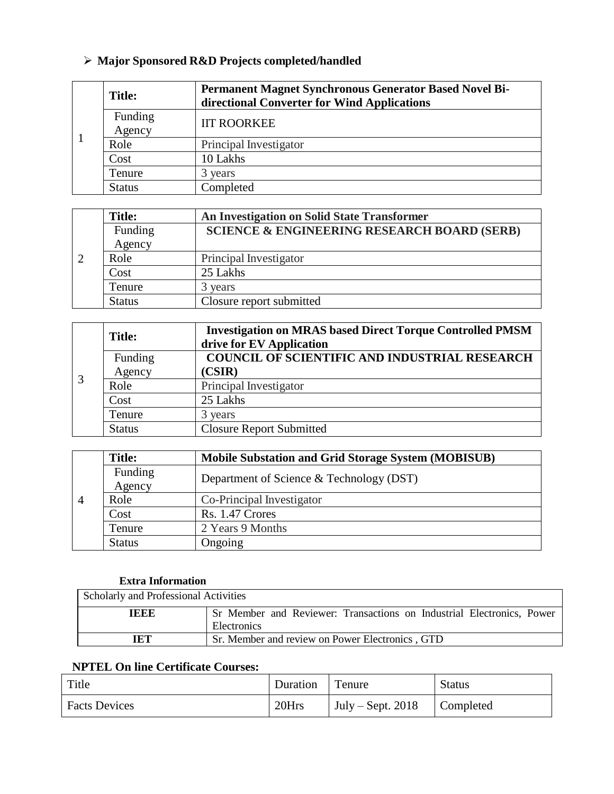# **Major Sponsored R&D Projects completed/handled**

|  | <b>Title:</b>     | Permanent Magnet Synchronous Generator Based Novel Bi-<br>directional Converter for Wind Applications |  |  |  |
|--|-------------------|-------------------------------------------------------------------------------------------------------|--|--|--|
|  | Funding<br>Agency | <b>IIT ROORKEE</b>                                                                                    |  |  |  |
|  | Role              | Principal Investigator                                                                                |  |  |  |
|  | Cost              | 10 Lakhs                                                                                              |  |  |  |
|  | Tenure            | 3 years                                                                                               |  |  |  |
|  | <b>Status</b>     | Completed                                                                                             |  |  |  |

| <b>Title:</b> | An Investigation on Solid State Transformer            |
|---------------|--------------------------------------------------------|
| Funding       | <b>SCIENCE &amp; ENGINEERING RESEARCH BOARD (SERB)</b> |
| Agency        |                                                        |
| Role          | Principal Investigator                                 |
| Cost          | 25 Lakhs                                               |
| Tenure        | 3 years                                                |
| <b>Status</b> | Closure report submitted                               |

| 3 | <b>Title:</b> | <b>Investigation on MRAS based Direct Torque Controlled PMSM</b> |
|---|---------------|------------------------------------------------------------------|
|   |               | drive for EV Application                                         |
|   | Funding       | <b>COUNCIL OF SCIENTIFIC AND INDUSTRIAL RESEARCH</b>             |
|   | Agency        | (CSIR)                                                           |
|   | Role          | Principal Investigator                                           |
|   | Cost          | 25 Lakhs                                                         |
|   | Tenure        | 3 years                                                          |
|   | <b>Status</b> | <b>Closure Report Submitted</b>                                  |

| $\overline{4}$ | <b>Title:</b>     | <b>Mobile Substation and Grid Storage System (MOBISUB)</b> |  |  |  |
|----------------|-------------------|------------------------------------------------------------|--|--|--|
|                | Funding<br>Agency | Department of Science & Technology (DST)                   |  |  |  |
|                | Role              | Co-Principal Investigator                                  |  |  |  |
|                |                   |                                                            |  |  |  |
|                | Cost              | Rs. 1.47 Crores                                            |  |  |  |
|                | Tenure            | 2 Years 9 Months                                           |  |  |  |
|                | <b>Status</b>     | Ongoing                                                    |  |  |  |

## **Extra Information**

| Scholarly and Professional Activities |                                                                                      |  |  |
|---------------------------------------|--------------------------------------------------------------------------------------|--|--|
| TEEE                                  | Sr Member and Reviewer: Transactions on Industrial Electronics, Power<br>Electronics |  |  |
|                                       |                                                                                      |  |  |
| TET                                   | Sr. Member and review on Power Electronics, GTD                                      |  |  |

## **NPTEL On line Certificate Courses:**

| Title                | Duration | Tenure              | <b>Status</b> |
|----------------------|----------|---------------------|---------------|
| <b>Facts Devices</b> | 20Hrs    | July – Sept. $2018$ | Completed     |